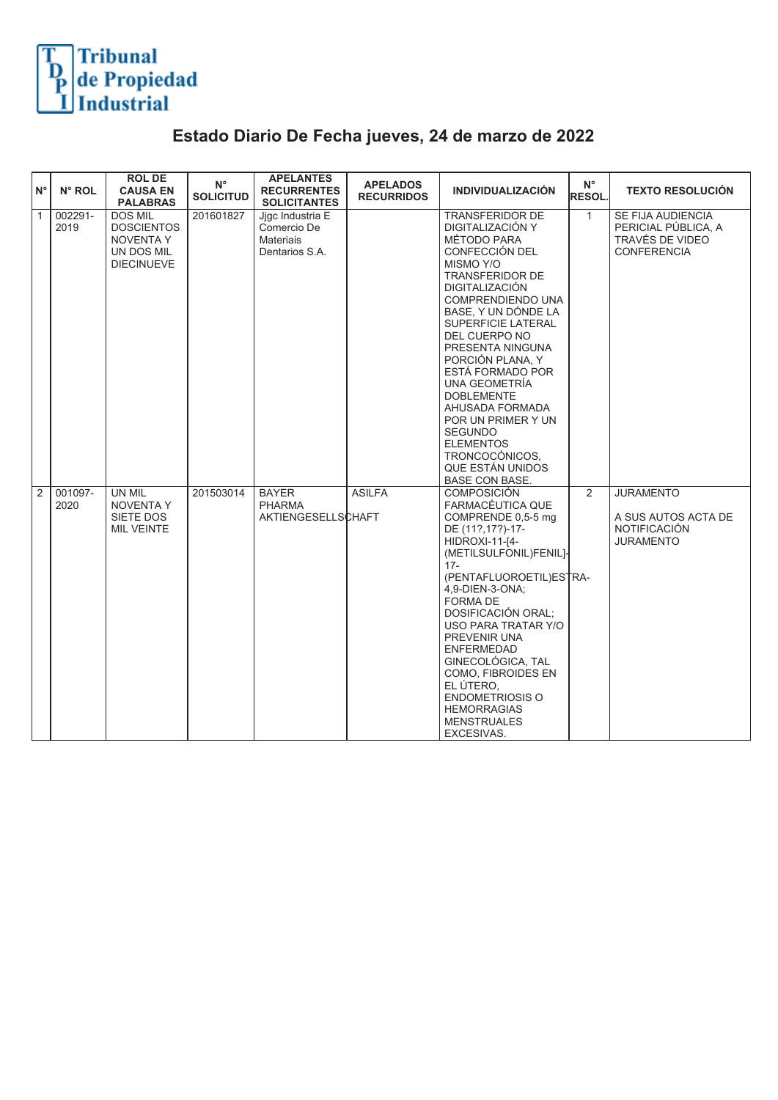

## **Estado Diario De Fecha jueves, 24 de marzo de 2022**

| ١N°            | N° ROL          | <b>ROLDE</b><br><b>CAUSA EN</b><br><b>PALABRAS</b>                                         | $N^{\circ}$<br><b>SOLICITUD</b> | <b>APELANTES</b><br><b>RECURRENTES</b><br><b>SOLICITANTES</b>         | <b>APELADOS</b><br><b>RECURRIDOS</b> | <b>INDIVIDUALIZACIÓN</b>                                                                                                                                                                                                                                                                                                                                                                                                                                                       | $N^{\circ}$<br><b>RESOL</b> | <b>TEXTO RESOLUCIÓN</b>                                                            |
|----------------|-----------------|--------------------------------------------------------------------------------------------|---------------------------------|-----------------------------------------------------------------------|--------------------------------------|--------------------------------------------------------------------------------------------------------------------------------------------------------------------------------------------------------------------------------------------------------------------------------------------------------------------------------------------------------------------------------------------------------------------------------------------------------------------------------|-----------------------------|------------------------------------------------------------------------------------|
| $\overline{1}$ | 002291-<br>2019 | <b>DOS MIL</b><br><b>DOSCIENTOS</b><br><b>NOVENTA Y</b><br>UN DOS MIL<br><b>DIECINUEVE</b> | 201601827                       | Jigc Industria E<br>Comercio De<br><b>Materiais</b><br>Dentarios S.A. |                                      | <b>TRANSFERIDOR DE</b><br>DIGITALIZACIÓN Y<br>MÉTODO PARA<br>CONFECCIÓN DEL<br>MISMO Y/O<br><b>TRANSFERIDOR DE</b><br><b>DIGITALIZACIÓN</b><br><b>COMPRENDIENDO UNA</b><br>BASE, Y UN DÓNDE LA<br>SUPERFICIE LATERAL<br>DEL CUERPO NO<br>PRESENTA NINGUNA<br>PORCIÓN PLANA, Y<br>ESTÁ FORMADO POR<br>UNA GEOMETRIA<br><b>DOBLEMENTE</b><br>AHUSADA FORMADA<br>POR UN PRIMER Y UN<br><b>SEGUNDO</b><br><b>ELEMENTOS</b><br>TRONCOCÓNICOS,<br>QUE ESTÁN UNIDOS<br>BASE CON BASE. | $\mathbf{1}$                | SE FIJA AUDIENCIA<br>PERICIAL PÚBLICA, A<br>TRAVÉS DE VIDEO<br><b>CONFERENCIA</b>  |
| 2              | 001097-<br>2020 | UN MIL<br><b>NOVENTA Y</b><br>SIETE DOS<br><b>MIL VEINTE</b>                               | 201503014                       | <b>BAYER</b><br><b>PHARMA</b><br>AKTIENGESELLSCHAFT                   | <b>ASILFA</b>                        | <b>COMPOSICIÓN</b><br>FARMACÉUTICA QUE<br>COMPRENDE 0,5-5 mg<br>DE (11?, 17?)-17-<br>HIDROXI-11-[4-<br>(METILSULFONIL)FENIL]<br>$17 -$<br>(PENTAFLUOROETIL)ESTRA-<br>4.9-DIEN-3-ONA;<br><b>FORMA DE</b><br>DOSIFICACIÓN ORAL;<br><b>USO PARA TRATAR Y/O</b><br>PREVENIR UNA<br><b>ENFERMEDAD</b><br>GINECOLÓGICA, TAL<br>COMO, FIBROIDES EN<br>EL ÚTERO.<br><b>ENDOMETRIOSIS O</b><br><b>HEMORRAGIAS</b><br><b>MENSTRUALES</b><br>EXCESIVAS.                                   | 2                           | <b>JURAMENTO</b><br>A SUS AUTOS ACTA DE<br><b>NOTIFICACIÓN</b><br><b>JURAMENTO</b> |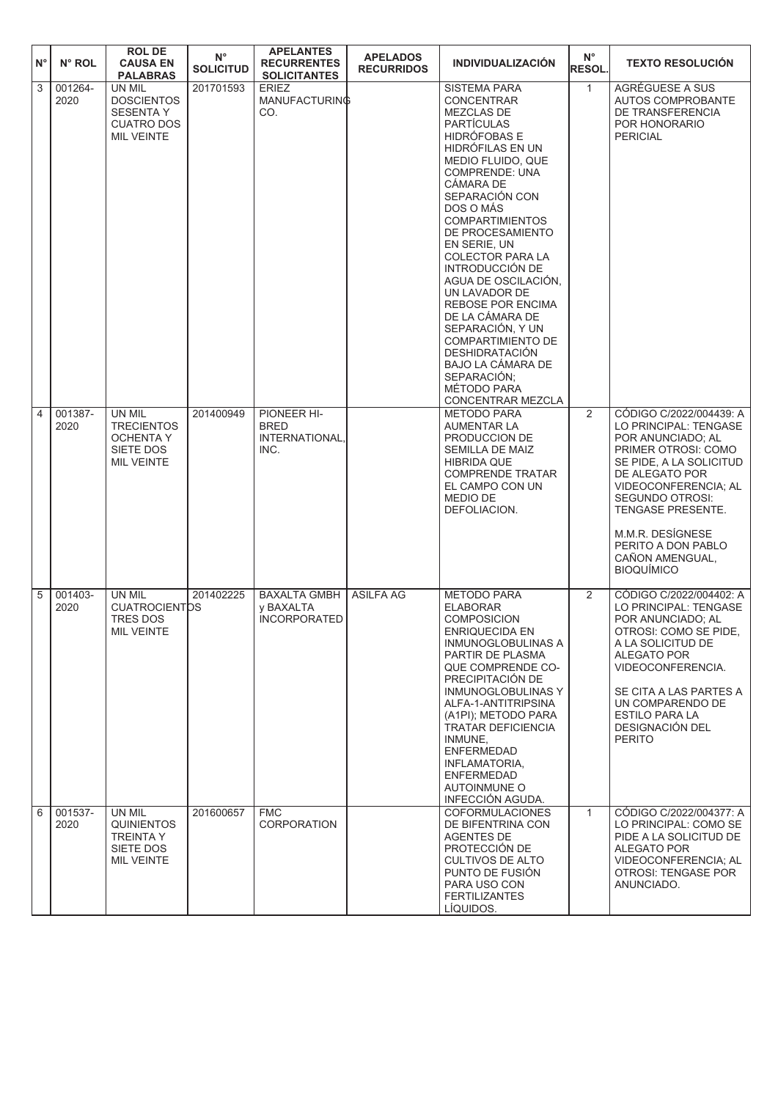| $N^{\circ}$ | N° ROL          | <b>ROL DE</b><br><b>CAUSA EN</b><br><b>PALABRAS</b>                                       | $N^{\circ}$<br><b>SOLICITUD</b> | <b>APELANTES</b><br><b>RECURRENTES</b><br><b>SOLICITANTES</b> | <b>APELADOS</b><br><b>RECURRIDOS</b> | <b>INDIVIDUALIZACIÓN</b>                                                                                                                                                                                                                                                                                                                                                                                                                                                                                                                        | $N^{\circ}$<br><b>RESOL.</b> | <b>TEXTO RESOLUCIÓN</b>                                                                                                                                                                                                                                                                            |
|-------------|-----------------|-------------------------------------------------------------------------------------------|---------------------------------|---------------------------------------------------------------|--------------------------------------|-------------------------------------------------------------------------------------------------------------------------------------------------------------------------------------------------------------------------------------------------------------------------------------------------------------------------------------------------------------------------------------------------------------------------------------------------------------------------------------------------------------------------------------------------|------------------------------|----------------------------------------------------------------------------------------------------------------------------------------------------------------------------------------------------------------------------------------------------------------------------------------------------|
| 3           | 001264-<br>2020 | UN MIL<br><b>DOSCIENTOS</b><br><b>SESENTA Y</b><br><b>CUATRO DOS</b><br><b>MIL VEINTE</b> | 201701593                       | <b>ERIEZ</b><br>MANUFACTURING<br>CO.                          |                                      | <b>SISTEMA PARA</b><br><b>CONCENTRAR</b><br>MEZCLAS DE<br><b>PARTÍCULAS</b><br>HIDRÓFOBAS E<br>HIDRÓFILAS EN UN<br>MEDIO FLUIDO, QUE<br><b>COMPRENDE: UNA</b><br>CÁMARA DE<br>SEPARACIÓN CON<br>DOS O MÁS<br><b>COMPARTIMIENTOS</b><br>DE PROCESAMIENTO<br>EN SERIE, UN<br>COLECTOR PARA LA<br>INTRODUCCIÓN DE<br>AGUA DE OSCILACIÓN,<br>UN LAVADOR DE<br><b>REBOSE POR ENCIMA</b><br>DE LA CÁMARA DE<br>SEPARACIÓN, Y UN<br>COMPARTIMIENTO DE<br><b>DESHIDRATACIÓN</b><br>BAJO LA CÁMARA DE<br>SEPARACIÓN;<br>MÉTODO PARA<br>CONCENTRAR MEZCLA | $\mathbf{1}$                 | AGRÉGUESE A SUS<br>AUTOS COMPROBANTE<br>DE TRANSFERENCIA<br>POR HONORARIO<br><b>PERICIAL</b>                                                                                                                                                                                                       |
| 4           | 001387-<br>2020 | UN MIL<br><b>TRECIENTOS</b><br><b>OCHENTA Y</b><br>SIETE DOS<br><b>MIL VEINTE</b>         | 201400949                       | PIONEER HI-<br><b>BRED</b><br>INTERNATIONAL.<br>INC.          |                                      | <b>METODO PARA</b><br><b>AUMENTAR LA</b><br>PRODUCCION DE<br>SEMILLA DE MAIZ<br><b>HIBRIDA QUE</b><br><b>COMPRENDE TRATAR</b><br>EL CAMPO CON UN<br><b>MEDIO DE</b><br>DEFOLIACION.                                                                                                                                                                                                                                                                                                                                                             | 2                            | CÓDIGO C/2022/004439: A<br>LO PRINCIPAL: TENGASE<br>POR ANUNCIADO; AL<br>PRIMER OTROSI: COMO<br>SE PIDE, A LA SOLICITUD<br>DE ALEGATO POR<br>VIDEOCONFERENCIA; AL<br><b>SEGUNDO OTROSI:</b><br>TENGASE PRESENTE.<br>M.M.R. DESÍGNESE<br>PERITO A DON PABLO<br>CAÑON AMENGUAL,<br><b>BIOQUÍMICO</b> |
| 5           | 001403-<br>2020 | UN MIL<br><b>CUATROCIENTOS</b><br>TRES DOS<br>MIL VEINTE                                  | 201402225                       | <b>BAXALTA GMBH</b><br>y BAXALTA<br><b>INCORPORATED</b>       | <b>ASILFA AG</b>                     | <b>METODO PARA</b><br><b>ELABORAR</b><br><b>COMPOSICION</b><br>ENRIQUECIDA EN<br><b>INMUNOGLOBULINAS A</b><br>PARTIR DE PLASMA<br>QUE COMPRENDE CO-<br>PRECIPITACIÓN DE<br>INMUNOGLOBULINAS Y<br>ALFA-1-ANTITRIPSINA<br>(A1PI); METODO PARA<br><b>TRATAR DEFICIENCIA</b><br>INMUNE,<br><b>ENFERMEDAD</b><br>INFLAMATORIA,<br><b>ENFERMEDAD</b><br><b>AUTOINMUNE O</b><br>INFECCIÓN AGUDA.                                                                                                                                                       | 2                            | CÓDIGO C/2022/004402: A<br>LO PRINCIPAL: TENGASE<br>POR ANUNCIADO; AL<br>OTROSI: COMO SE PIDE,<br>A LA SOLICITUD DE<br>ALEGATO POR<br>VIDEOCONFERENCIA.<br>SE CITA A LAS PARTES A<br>UN COMPARENDO DE<br>ESTILO PARA LA<br><b>DESIGNACIÓN DEL</b><br><b>PERITO</b>                                 |
| 6           | 001537-<br>2020 | UN MIL<br><b>QUINIENTOS</b><br><b>TREINTA Y</b><br>SIETE DOS<br>MIL VEINTE                | 201600657                       | <b>FMC</b><br><b>CORPORATION</b>                              |                                      | <b>COFORMULACIONES</b><br>DE BIFENTRINA CON<br><b>AGENTES DE</b><br>PROTECCIÓN DE<br><b>CULTIVOS DE ALTO</b><br>PUNTO DE FUSIÓN<br>PARA USO CON<br><b>FERTILIZANTES</b><br>LÍQUIDOS.                                                                                                                                                                                                                                                                                                                                                            | $\mathbf{1}$                 | CÓDIGO C/2022/004377: A<br>LO PRINCIPAL: COMO SE<br>PIDE A LA SOLICITUD DE<br>ALEGATO POR<br>VIDEOCONFERENCIA; AL<br>OTROSI: TENGASE POR<br>ANUNCIADO.                                                                                                                                             |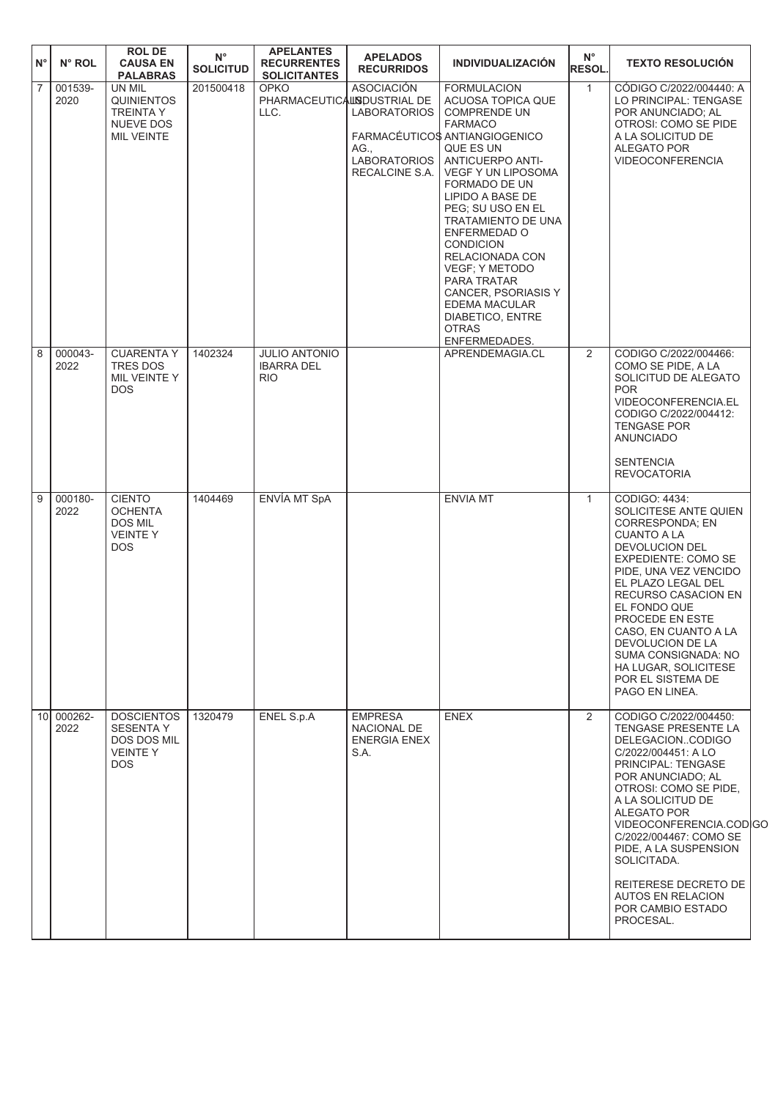| $N^{\circ}$    | N° ROL             | <b>ROLDE</b><br><b>CAUSA EN</b><br><b>PALABRAS</b>                                | $N^{\circ}$<br><b>SOLICITUD</b> | <b>APELANTES</b><br><b>RECURRENTES</b><br><b>SOLICITANTES</b> | <b>APELADOS</b><br><b>RECURRIDOS</b>                                                      | <b>INDIVIDUALIZACIÓN</b>                                                                                                                                                                                                                                                                                                                                                                                                                                    | $N^{\circ}$<br><b>RESOL.</b> | <b>TEXTO RESOLUCIÓN</b>                                                                                                                                                                                                                                                                                                                                                     |
|----------------|--------------------|-----------------------------------------------------------------------------------|---------------------------------|---------------------------------------------------------------|-------------------------------------------------------------------------------------------|-------------------------------------------------------------------------------------------------------------------------------------------------------------------------------------------------------------------------------------------------------------------------------------------------------------------------------------------------------------------------------------------------------------------------------------------------------------|------------------------------|-----------------------------------------------------------------------------------------------------------------------------------------------------------------------------------------------------------------------------------------------------------------------------------------------------------------------------------------------------------------------------|
| 7              | 001539-<br>2020    | UN MIL<br><b>QUINIENTOS</b><br><b>TREINTA Y</b><br><b>NUEVE DOS</b><br>MIL VEINTE | 201500418                       | <b>OPKO</b><br>PHARMACEUTICALISDUSTRIAL DE<br>LLC.            | <b>ASOCIACIÓN</b><br><b>LABORATORIOS</b><br>AG.,<br><b>LABORATORIOS</b><br>RECALCINE S.A. | <b>FORMULACION</b><br>ACUOSA TOPICA QUE<br><b>COMPRENDE UN</b><br><b>FARMACO</b><br>FARMACÉUTICOS ANTIANGIOGENICO<br>QUE ES UN<br><b>ANTICUERPO ANTI-</b><br><b>VEGF Y UN LIPOSOMA</b><br>FORMADO DE UN<br>LIPIDO A BASE DE<br>PEG; SU USO EN EL<br>TRATAMIENTO DE UNA<br>ENFERMEDAD O<br><b>CONDICION</b><br>RELACIONADA CON<br>VEGF; Y METODO<br>PARA TRATAR<br>CANCER, PSORIASIS Y<br>EDEMA MACULAR<br>DIABETICO, ENTRE<br><b>OTRAS</b><br>ENFERMEDADES. | $\mathbf{1}$                 | CODIGO C/2022/004440: A<br>LO PRINCIPAL: TENGASE<br>POR ANUNCIADO: AL<br>OTROSI: COMO SE PIDE<br>A LA SOLICITUD DE<br>ALEGATO POR<br><b>VIDEOCONFERENCIA</b>                                                                                                                                                                                                                |
| $\overline{8}$ | 000043-<br>2022    | <b>CUARENTA Y</b><br><b>TRES DOS</b><br>MIL VEINTE Y<br><b>DOS</b>                | 1402324                         | <b>JULIO ANTONIO</b><br><b>IBARRA DEL</b><br><b>RIO</b>       |                                                                                           | APRENDEMAGIA.CL                                                                                                                                                                                                                                                                                                                                                                                                                                             | 2                            | CODIGO C/2022/004466:<br>COMO SE PIDE, A LA<br>SOLICITUD DE ALEGATO<br><b>POR</b><br>VIDEOCONFERENCIA.EL<br>CODIGO C/2022/004412:<br><b>TENGASE POR</b><br><b>ANUNCIADO</b><br><b>SENTENCIA</b><br><b>REVOCATORIA</b>                                                                                                                                                       |
| $\sqrt{9}$     | 000180-<br>2022    | <b>CIENTO</b><br><b>OCHENTA</b><br>DOS MIL<br>VEINTE Y<br><b>DOS</b>              | 1404469                         | ENVÍA MT SpA                                                  |                                                                                           | <b>ENVIA MT</b>                                                                                                                                                                                                                                                                                                                                                                                                                                             | $\mathbf{1}$                 | CODIGO: 4434:<br>SOLICITESE ANTE QUIEN<br><b>CORRESPONDA: EN</b><br><b>CUANTO A LA</b><br>DEVOLUCION DEL<br>EXPEDIENTE: COMO SE<br>PIDE, UNA VEZ VENCIDO<br>EL PLAZO LEGAL DEL<br>RECURSO CASACION EN<br>EL FONDO QUE<br>PROCEDE EN ESTE<br>CASO, EN CUANTO A LA<br>DEVOLUCION DE LA<br>SUMA CONSIGNADA: NO<br>HA LUGAR, SOLICITESE<br>POR EL SISTEMA DE<br>PAGO EN LINEA.  |
|                | 10 000262-<br>2022 | <b>DOSCIENTOS</b><br><b>SESENTA Y</b><br>DOS DOS MIL<br><b>VEINTEY</b><br>DOS.    | 1320479                         | ENEL S.p.A                                                    | <b>EMPRESA</b><br>NACIONAL DE<br><b>ENERGIA ENEX</b><br>S.A.                              | <b>ENEX</b>                                                                                                                                                                                                                                                                                                                                                                                                                                                 | $\overline{2}$               | CODIGO C/2022/004450:<br>TENGASE PRESENTE LA<br>DELEGACIONCODIGO<br>C/2022/004451: A LO<br>PRINCIPAL: TENGASE<br>POR ANUNCIADO; AL<br>OTROSI: COMO SE PIDE,<br>A LA SOLICITUD DE<br>ALEGATO POR<br>VIDEOCONFERENCIA.CODIGC<br>C/2022/004467: COMO SE<br>PIDE, A LA SUSPENSION<br>SOLICITADA.<br>REITERESE DECRETO DE<br>AUTOS EN RELACION<br>POR CAMBIO ESTADO<br>PROCESAL. |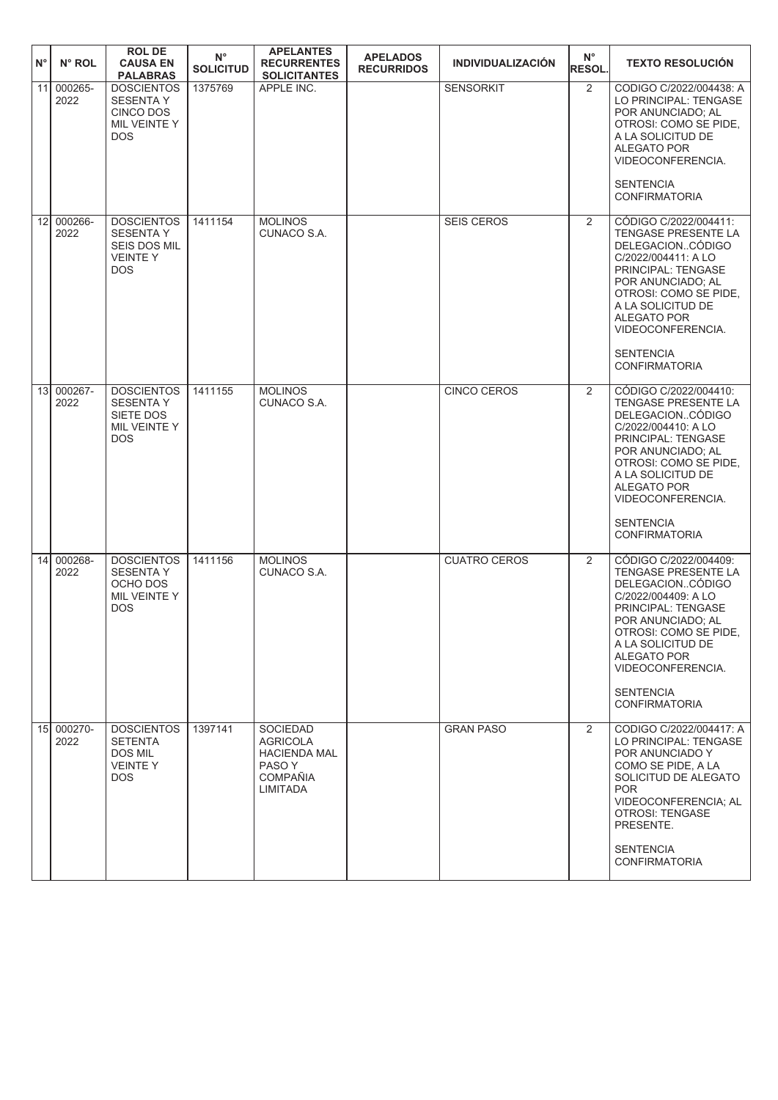| $\mathsf{N}^\circ$ | N° ROL             | <b>ROL DE</b><br><b>CAUSA EN</b><br><b>PALABRAS</b>                                          | $N^{\circ}$<br><b>SOLICITUD</b> | <b>APELANTES</b><br><b>RECURRENTES</b><br><b>SOLICITANTES</b>                                      | <b>APELADOS</b><br><b>RECURRIDOS</b> | <b>INDIVIDUALIZACIÓN</b> | $N^{\circ}$<br>RESOL. | <b>TEXTO RESOLUCIÓN</b>                                                                                                                                                                                                                                                 |
|--------------------|--------------------|----------------------------------------------------------------------------------------------|---------------------------------|----------------------------------------------------------------------------------------------------|--------------------------------------|--------------------------|-----------------------|-------------------------------------------------------------------------------------------------------------------------------------------------------------------------------------------------------------------------------------------------------------------------|
| 11                 | 000265-<br>2022    | <b>DOSCIENTOS</b><br><b>SESENTA Y</b><br><b>CINCO DOS</b><br>MIL VEINTE Y<br><b>DOS</b>      | 1375769                         | APPLE INC.                                                                                         |                                      | <b>SENSORKIT</b>         | $\overline{2}$        | CODIGO C/2022/004438: A<br>LO PRINCIPAL: TENGASE<br>POR ANUNCIADO: AL<br>OTROSI: COMO SE PIDE,<br>A LA SOLICITUD DE<br>ALEGATO POR<br>VIDEOCONFERENCIA.<br><b>SENTENCIA</b><br><b>CONFIRMATORIA</b>                                                                     |
| 12                 | 000266-<br>2022    | <b>DOSCIENTOS</b><br><b>SESENTA Y</b><br><b>SEIS DOS MIL</b><br><b>VEINTEY</b><br><b>DOS</b> | 1411154                         | <b>MOLINOS</b><br>CUNACO S.A.                                                                      |                                      | <b>SEIS CEROS</b>        | $\overline{2}$        | CÓDIGO C/2022/004411:<br>TENGASE PRESENTE LA<br>DELEGACIONCÓDIGO<br>C/2022/004411: A LO<br>PRINCIPAL: TENGASE<br>POR ANUNCIADO; AL<br>OTROSI: COMO SE PIDE,<br>A LA SOLICITUD DE<br><b>ALEGATO POR</b><br>VIDEOCONFERENCIA.<br><b>SENTENCIA</b><br><b>CONFIRMATORIA</b> |
| 13                 | 000267-<br>2022    | <b>DOSCIENTOS</b><br><b>SESENTAY</b><br>SIETE DOS<br>MIL VEINTE Y<br><b>DOS</b>              | 1411155                         | <b>MOLINOS</b><br>CUNACO S.A.                                                                      |                                      | <b>CINCO CEROS</b>       | $\overline{2}$        | CÓDIGO C/2022/004410:<br>TENGASE PRESENTE LA<br>DELEGACIONCODIGO<br>C/2022/004410: A LO<br>PRINCIPAL: TENGASE<br>POR ANUNCIADO; AL<br>OTROSI: COMO SE PIDE,<br>A LA SOLICITUD DE<br><b>ALEGATO POR</b><br>VIDEOCONFERENCIA.<br><b>SENTENCIA</b><br><b>CONFIRMATORIA</b> |
| 14                 | 000268-<br>2022    | <b>DOSCIENTOS</b><br><b>SESENTAY</b><br>OCHO DOS<br>MIL VEINTE Y<br><b>DOS</b>               | 1411156                         | <b>MOLINOS</b><br>CUNACO S.A.                                                                      |                                      | <b>CUATRO CEROS</b>      | 2                     | CÓDIGO C/2022/004409:<br>TENGASE PRESENTE LA<br>DELEGACIONCÓDIGO<br>C/2022/004409: A LO<br>PRINCIPAL: TENGASE<br>POR ANUNCIADO; AL<br>OTROSI: COMO SE PIDE,<br>A LA SOLICITUD DE<br>ALEGATO POR<br>VIDEOCONFERENCIA.<br><b>SENTENCIA</b><br><b>CONFIRMATORIA</b>        |
|                    | 15 000270-<br>2022 | <b>DOSCIENTOS</b><br><b>SETENTA</b><br>DOS MIL<br><b>VEINTEY</b><br>DOS.                     | 1397141                         | SOCIEDAD<br><b>AGRICOLA</b><br><b>HACIENDA MAL</b><br>PASO Y<br><b>COMPAÑIA</b><br><b>LIMITADA</b> |                                      | <b>GRAN PASO</b>         | $\overline{2}$        | CODIGO C/2022/004417: A<br>LO PRINCIPAL: TENGASE<br>POR ANUNCIADO Y<br>COMO SE PIDE, A LA<br>SOLICITUD DE ALEGATO<br><b>POR</b><br>VIDEOCONFERENCIA; AL<br>OTROSI: TENGASE<br>PRESENTE.<br><b>SENTENCIA</b><br><b>CONFIRMATORIA</b>                                     |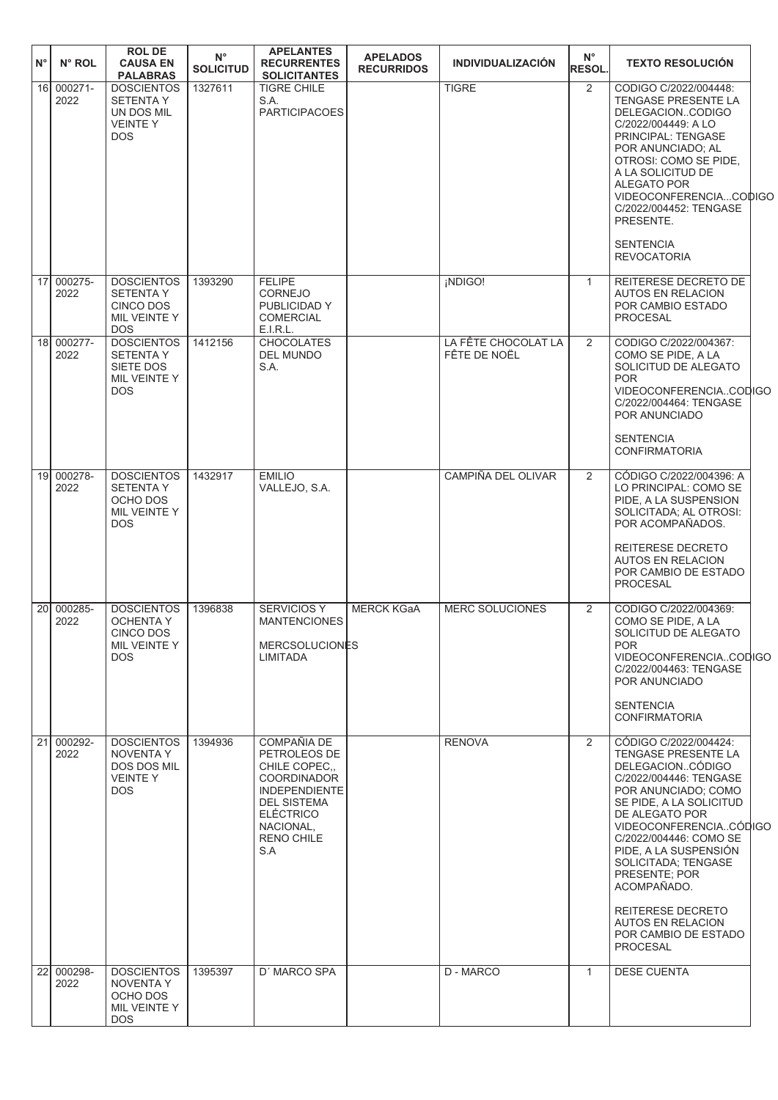| $N^{\circ}$ | N° ROL             | <b>ROL DE</b><br><b>CAUSA EN</b><br><b>PALABRAS</b>                                    | $N^{\circ}$<br><b>SOLICITUD</b> | <b>APELANTES</b><br><b>RECURRENTES</b><br><b>SOLICITANTES</b>                                                                                                               | <b>APELADOS</b><br><b>RECURRIDOS</b> | <b>INDIVIDUALIZACIÓN</b>            | $N^{\circ}$<br><b>RESOL.</b> | <b>TEXTO RESOLUCIÓN</b>                                                                                                                                                                                                                                                                                                                                                     |  |
|-------------|--------------------|----------------------------------------------------------------------------------------|---------------------------------|-----------------------------------------------------------------------------------------------------------------------------------------------------------------------------|--------------------------------------|-------------------------------------|------------------------------|-----------------------------------------------------------------------------------------------------------------------------------------------------------------------------------------------------------------------------------------------------------------------------------------------------------------------------------------------------------------------------|--|
|             | 16 000271-<br>2022 | <b>DOSCIENTOS</b><br><b>SETENTAY</b><br>UN DOS MIL<br><b>VEINTEY</b><br><b>DOS</b>     | 1327611                         | <b>TIGRE CHILE</b><br>S.A.<br><b>PARTICIPACOES</b>                                                                                                                          |                                      | <b>TIGRE</b>                        | 2                            | CODIGO C/2022/004448:<br>TENGASE PRESENTE LA<br>DELEGACIONCODIGO<br>C/2022/004449: A LO<br>PRINCIPAL: TENGASE<br>POR ANUNCIADO; AL<br>OTROSI: COMO SE PIDE,<br>A LA SOLICITUD DE<br><b>ALEGATO POR</b><br>VIDEOCONFERENCIACODIGC<br>C/2022/004452: TENGASE<br>PRESENTE.<br><b>SENTENCIA</b>                                                                                 |  |
|             |                    |                                                                                        |                                 |                                                                                                                                                                             |                                      |                                     |                              | <b>REVOCATORIA</b>                                                                                                                                                                                                                                                                                                                                                          |  |
|             | 17 000275-<br>2022 | <b>DOSCIENTOS</b><br><b>SETENTAY</b><br><b>CINCO DOS</b><br>MIL VEINTE Y<br><b>DOS</b> | 1393290                         | <b>FELIPE</b><br><b>CORNEJO</b><br>PUBLICIDAD Y<br><b>COMERCIAL</b><br>E.I.R.L.                                                                                             |                                      | ¡NDIGO!                             | $\mathbf{1}$                 | REITERESE DECRETO DE<br><b>AUTOS EN RELACION</b><br>POR CAMBIO ESTADO<br>PROCESAL                                                                                                                                                                                                                                                                                           |  |
|             | 18 000277-<br>2022 | <b>DOSCIENTOS</b><br><b>SETENTA Y</b><br>SIETE DOS<br>MIL VEINTE Y<br><b>DOS</b>       | 1412156                         | <b>CHOCOLATES</b><br><b>DEL MUNDO</b><br>S.A.                                                                                                                               |                                      | LA FÊTE CHOCOLAT LA<br>FÊTE DE NOËL | 2                            | CODIGO C/2022/004367:<br>COMO SE PIDE, A LA<br>SOLICITUD DE ALEGATO<br><b>POR</b><br>VIDEOCONFERENCIACODIGO<br>C/2022/004464: TENGASE<br>POR ANUNCIADO<br><b>SENTENCIA</b><br><b>CONFIRMATORIA</b>                                                                                                                                                                          |  |
|             | 19 000278-<br>2022 | <b>DOSCIENTOS</b><br><b>SETENTA Y</b><br>OCHO DOS<br>MIL VEINTE Y<br><b>DOS</b>        | 1432917                         | <b>EMILIO</b><br>VALLEJO, S.A.                                                                                                                                              |                                      | CAMPIÑA DEL OLIVAR                  | 2                            | CÓDIGO C/2022/004396: A<br>LO PRINCIPAL: COMO SE<br>PIDE, A LA SUSPENSION<br>SOLICITADA; AL OTROSI:<br>POR ACOMPAÑADOS.                                                                                                                                                                                                                                                     |  |
|             |                    |                                                                                        |                                 |                                                                                                                                                                             |                                      |                                     |                              | REITERESE DECRETO<br><b>AUTOS EN RELACION</b><br>POR CAMBIO DE ESTADO<br>PROCESAL                                                                                                                                                                                                                                                                                           |  |
| 20I         | 000285-<br>2022    | <b>DOSCIENTOS</b><br><b>OCHENTA Y</b><br>CINCO DOS<br>MIL VEINTE Y<br><b>DOS</b>       | 1396838                         | <b>SERVICIOS Y</b><br><b>MANTENCIONES</b><br><b>MERCSOLUCIONES</b><br><b>LIMITADA</b>                                                                                       | <b>MERCK KGaA</b>                    | MERC SOLUCIONES                     | 2                            | CODIGO C/2022/004369:<br>COMO SE PIDE, A LA<br>SOLICITUD DE ALEGATO<br><b>POR</b><br>VIDEOCONFERENCIACODIGO<br>C/2022/004463: TENGASE<br>POR ANUNCIADO<br><b>SENTENCIA</b>                                                                                                                                                                                                  |  |
|             |                    |                                                                                        |                                 |                                                                                                                                                                             |                                      |                                     |                              | <b>CONFIRMATORIA</b>                                                                                                                                                                                                                                                                                                                                                        |  |
|             | 21 000292-<br>2022 | <b>DOSCIENTOS</b><br>NOVENTA Y<br>DOS DOS MIL<br><b>VEINTEY</b><br><b>DOS</b>          | 1394936                         | COMPAÑIA DE<br>PETROLEOS DE<br>CHILE COPEC<br><b>COORDINADOR</b><br><b>INDEPENDIENTE</b><br><b>DEL SISTEMA</b><br><b>ELÉCTRICO</b><br>NACIONAL,<br><b>RENO CHILE</b><br>S.A |                                      | <b>RENOVA</b>                       | 2                            | CÓDIGO C/2022/004424:<br>TENGASE PRESENTE LA<br>DELEGACIONCÓDIGO<br>C/2022/004446: TENGASE<br>POR ANUNCIADO; COMO<br>SE PIDE, A LA SOLICITUD<br>DE ALEGATO POR<br>VIDEOCONFERENCIACÓDIGO<br>C/2022/004446: COMO SE<br>PIDE, A LA SUSPENSIÓN<br>SOLICITADA: TENGASE<br>PRESENTE; POR<br>ACOMPAÑADO.<br>REITERESE DECRETO<br><b>AUTOS EN RELACION</b><br>POR CAMBIO DE ESTADO |  |
|             |                    |                                                                                        |                                 |                                                                                                                                                                             |                                      |                                     |                              | PROCESAL                                                                                                                                                                                                                                                                                                                                                                    |  |
| 22          | 000298-<br>2022    | <b>DOSCIENTOS</b><br><b>NOVENTA Y</b><br>OCHO DOS<br>MIL VEINTE Y<br>DOS               | 1395397                         | D' MARCO SPA                                                                                                                                                                |                                      | D - MARCO                           | $\mathbf{1}$                 | <b>DESE CUENTA</b>                                                                                                                                                                                                                                                                                                                                                          |  |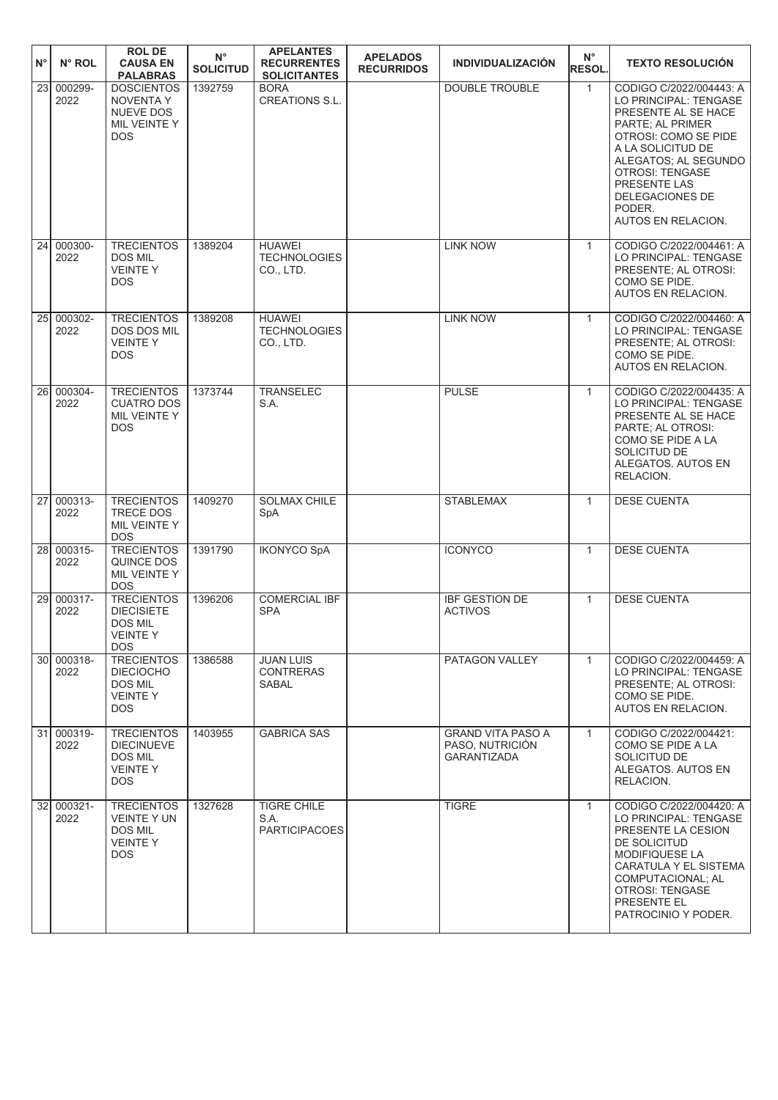| N°        | N° ROL             | <b>ROLDE</b><br><b>CAUSA EN</b><br><b>PALABRAS</b>                                        | $N^{\circ}$<br><b>SOLICITUD</b> | <b>APELANTES</b><br><b>RECURRENTES</b><br><b>SOLICITANTES</b> | <b>APELADOS</b><br><b>RECURRIDOS</b> | <b>INDIVIDUALIZACIÓN</b>                                          | $N^{\circ}$<br><b>RESOL.</b> | <b>TEXTO RESOLUCIÓN</b>                                                                                                                                                                                                                                       |
|-----------|--------------------|-------------------------------------------------------------------------------------------|---------------------------------|---------------------------------------------------------------|--------------------------------------|-------------------------------------------------------------------|------------------------------|---------------------------------------------------------------------------------------------------------------------------------------------------------------------------------------------------------------------------------------------------------------|
|           | 23 000299-<br>2022 | <b>DOSCIENTOS</b><br><b>NOVENTA Y</b><br>NUEVE DOS<br>MIL VEINTE Y<br><b>DOS</b>          | 1392759                         | <b>BORA</b><br><b>CREATIONS S.L.</b>                          |                                      | <b>DOUBLE TROUBLE</b>                                             | $\mathbf{1}$                 | CODIGO C/2022/004443: A<br>LO PRINCIPAL: TENGASE<br>PRESENTE AL SE HACE<br>PARTE; AL PRIMER<br>OTROSI: COMO SE PIDE<br>A LA SOLICITUD DE<br>ALEGATOS; AL SEGUNDO<br><b>OTROSI: TENGASE</b><br>PRESENTE LAS<br>DELEGACIONES DE<br>PODER.<br>AUTOS EN RELACION. |
| 24        | 000300-<br>2022    | <b>TRECIENTOS</b><br><b>DOS MIL</b><br><b>VEINTEY</b><br><b>DOS</b>                       | 1389204                         | <b>HUAWEI</b><br><b>TECHNOLOGIES</b><br>CO., LTD.             |                                      | <b>LINK NOW</b>                                                   | $\mathbf{1}$                 | CODIGO C/2022/004461: A<br>LO PRINCIPAL: TENGASE<br>PRESENTE; AL OTROSI:<br>COMO SE PIDE.<br>AUTOS EN RELACION.                                                                                                                                               |
|           | 25 000302-<br>2022 | <b>TRECIENTOS</b><br><b>DOS DOS MIL</b><br><b>VEINTEY</b><br><b>DOS</b>                   | 1389208                         | <b>HUAWEI</b><br><b>TECHNOLOGIES</b><br>CO., LTD.             |                                      | <b>LINK NOW</b>                                                   | $\mathbf{1}$                 | CODIGO C/2022/004460: A<br>LO PRINCIPAL: TENGASE<br>PRESENTE: AL OTROSI:<br>COMO SE PIDE.<br><b>AUTOS EN RELACION.</b>                                                                                                                                        |
| <b>26</b> | 000304-<br>2022    | <b>TRECIENTOS</b><br><b>CUATRO DOS</b><br>MIL VEINTE Y<br><b>DOS</b>                      | 1373744                         | <b>TRANSELEC</b><br>S.A.                                      |                                      | <b>PULSE</b>                                                      | $\mathbf{1}$                 | CODIGO C/2022/004435: A<br>LO PRINCIPAL: TENGASE<br>PRESENTE AL SE HACE<br>PARTE; AL OTROSI:<br>COMO SE PIDE A LA<br>SOLICITUD DE<br>ALEGATOS. AUTOS EN<br>RELACION.                                                                                          |
| 27        | 000313-<br>2022    | <b>TRECIENTOS</b><br>TRECE DOS<br>MIL VEINTE Y<br><b>DOS</b>                              | 1409270                         | <b>SOLMAX CHILE</b><br>SpA                                    |                                      | <b>STABLEMAX</b>                                                  | $\mathbf{1}$                 | <b>DESE CUENTA</b>                                                                                                                                                                                                                                            |
|           | 28 000315-<br>2022 | <b>TRECIENTOS</b><br>QUINCE DOS<br>MIL VEINTE Y<br><b>DOS</b>                             | 1391790                         | <b>IKONYCO SpA</b>                                            |                                      | <b>ICONYCO</b>                                                    | $\mathbf{1}$                 | <b>DESE CUENTA</b>                                                                                                                                                                                                                                            |
|           | 29 000317-<br>2022 | <b>TRECIENTOS</b><br><b>DIECISIETE</b><br><b>DOS MIL</b><br><b>VEINTE Y</b><br><b>DOS</b> | 1396206                         | <b>COMERCIAL IBF</b><br><b>SPA</b>                            |                                      | <b>IBF GESTION DE</b><br><b>ACTIVOS</b>                           | $\mathbf{1}$                 | <b>DESE CUENTA</b>                                                                                                                                                                                                                                            |
|           | 30 000318-<br>2022 | <b>TRECIENTOS</b><br><b>DIECIOCHO</b><br><b>DOS MIL</b><br><b>VEINTEY</b><br>DOS.         | 1386588                         | <b>JUAN LUIS</b><br><b>CONTRERAS</b><br>SABAL                 |                                      | PATAGON VALLEY                                                    | $\mathbf{1}$                 | CODIGO C/2022/004459: A<br>LO PRINCIPAL: TENGASE<br>PRESENTE; AL OTROSI:<br>COMO SE PIDE.<br>AUTOS EN RELACION.                                                                                                                                               |
|           | 31 000319-<br>2022 | <b>TRECIENTOS</b><br><b>DIECINUEVE</b><br><b>DOS MIL</b><br><b>VEINTEY</b><br>DOS.        | 1403955                         | <b>GABRICA SAS</b>                                            |                                      | <b>GRAND VITA PASO A</b><br>PASO, NUTRICIÓN<br><b>GARANTIZADA</b> | $\mathbf{1}$                 | CODIGO C/2022/004421:<br>COMO SE PIDE A LA<br>SOLICITUD DE<br>ALEGATOS. AUTOS EN<br>RELACION.                                                                                                                                                                 |
|           | 32 000321-<br>2022 | <b>TRECIENTOS</b><br><b>VEINTE Y UN</b><br><b>DOS MIL</b><br><b>VEINTEY</b><br><b>DOS</b> | 1327628                         | <b>TIGRE CHILE</b><br>S.A.<br><b>PARTICIPACOES</b>            |                                      | <b>TIGRE</b>                                                      | $\mathbf{1}$                 | CODIGO C/2022/004420: A<br>LO PRINCIPAL: TENGASE<br>PRESENTE LA CESION<br>DE SOLICITUD<br>MODIFIQUESE LA<br>CARATULA Y EL SISTEMA<br>COMPUTACIONAL; AL<br>OTROSI: TENGASE<br>PRESENTE EL<br>PATROCINIO Y PODER.                                               |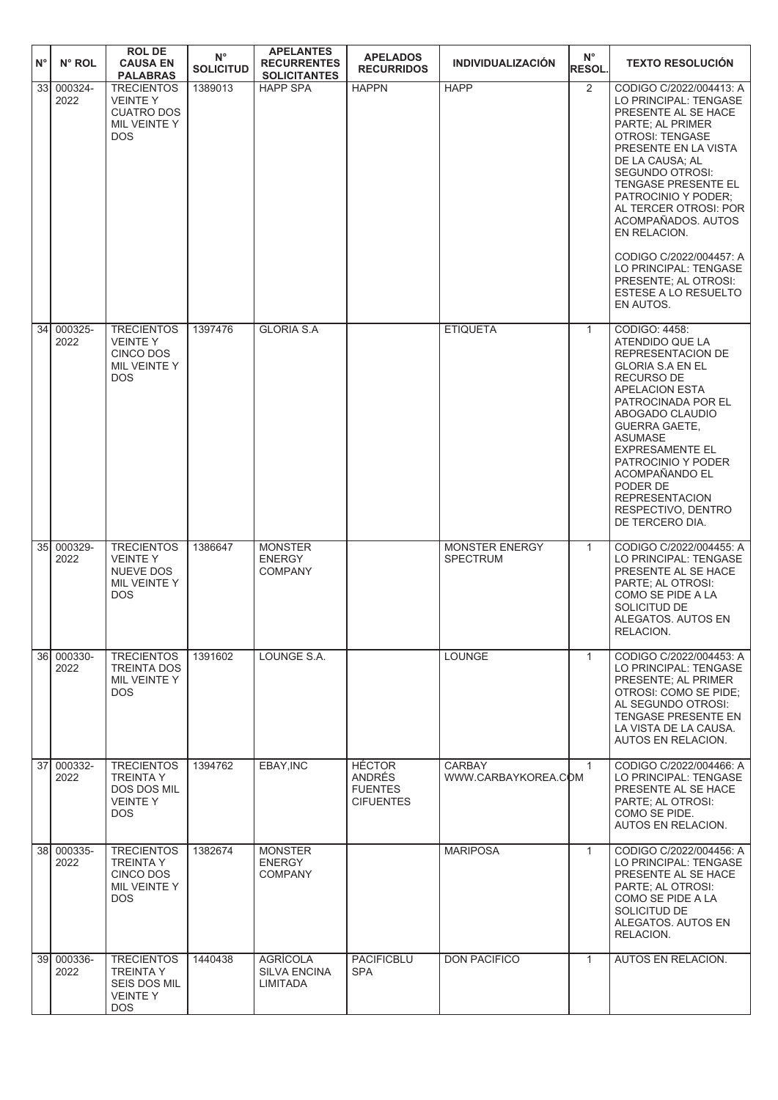| $N^{\circ}$     | $N^{\circ}$ ROL    | <b>ROL DE</b><br><b>CAUSA EN</b><br><b>PALABRAS</b>                                    | $N^{\circ}$<br><b>SOLICITUD</b> | <b>APELANTES</b><br><b>RECURRENTES</b><br><b>SOLICITANTES</b> | <b>APELADOS</b><br><b>RECURRIDOS</b>                          | <b>INDIVIDUALIZACIÓN</b>                 | $N^{\circ}$<br><b>RESOL.</b> | <b>TEXTO RESOLUCIÓN</b>                                                                                                                                                                                                                                                                                                                                                                                    |
|-----------------|--------------------|----------------------------------------------------------------------------------------|---------------------------------|---------------------------------------------------------------|---------------------------------------------------------------|------------------------------------------|------------------------------|------------------------------------------------------------------------------------------------------------------------------------------------------------------------------------------------------------------------------------------------------------------------------------------------------------------------------------------------------------------------------------------------------------|
| 33 <sub>1</sub> | 000324-<br>2022    | <b>TRECIENTOS</b><br><b>VEINTEY</b><br><b>CUATRO DOS</b><br>MIL VEINTE Y<br><b>DOS</b> | 1389013                         | <b>HAPP SPA</b>                                               | <b>HAPPN</b>                                                  | <b>HAPP</b>                              | 2                            | CODIGO C/2022/004413: A<br>LO PRINCIPAL: TENGASE<br>PRESENTE AL SE HACE<br>PARTE; AL PRIMER<br>OTROSI: TENGASE<br>PRESENTE EN LA VISTA<br>DE LA CAUSA; AL<br>SEGUNDO OTROSI:<br>TENGASE PRESENTE EL<br>PATROCINIO Y PODER;<br>AL TERCER OTROSI: POR<br>ACOMPAÑADOS. AUTOS<br>EN RELACION.<br>CODIGO C/2022/004457: A<br>LO PRINCIPAL: TENGASE<br>PRESENTE; AL OTROSI:<br>ESTESE A LO RESUELTO<br>EN AUTOS. |
| 34              | 000325-<br>2022    | <b>TRECIENTOS</b><br><b>VEINTEY</b><br><b>CINCO DOS</b><br>MIL VEINTE Y<br><b>DOS</b>  | 1397476                         | <b>GLORIA S.A</b>                                             |                                                               | <b>ETIQUETA</b>                          | $\mathbf{1}$                 | CODIGO: 4458:<br>ATENDIDO QUE LA<br>REPRESENTACION DE<br><b>GLORIA S.A EN EL</b><br><b>RECURSO DE</b><br><b>APELACION ESTA</b><br>PATROCINADA POR EL<br>ABOGADO CLAUDIO<br><b>GUERRA GAETE,</b><br>ASUMASE<br><b>EXPRESAMENTE EL</b><br>PATROCINIO Y PODER<br>ACOMPAÑANDO EL<br>PODER DE<br><b>REPRESENTACION</b><br>RESPECTIVO, DENTRO<br>DE TERCERO DIA.                                                 |
| 35I             | 000329-<br>2022    | <b>TRECIENTOS</b><br><b>VEINTEY</b><br>NUEVE DOS<br>MIL VEINTE Y<br><b>DOS</b>         | 1386647                         | <b>MONSTER</b><br><b>ENERGY</b><br><b>COMPANY</b>             |                                                               | <b>MONSTER ENERGY</b><br><b>SPECTRUM</b> | $\mathbf{1}$                 | CODIGO C/2022/004455: A<br>LO PRINCIPAL: TENGASE<br>PRESENTE AL SE HACE<br>PARTE; AL OTROSI:<br>COMO SE PIDE A LA<br>SOLICITUD DE<br>ALEGATOS. AUTOS EN<br>RELACION.                                                                                                                                                                                                                                       |
|                 | 36 000330-<br>2022 | <b>TRECIENTOS</b><br><b>TREINTA DOS</b><br>MIL VEINTE Y<br><b>DOS</b>                  | 1391602                         | LOUNGE S.A.                                                   |                                                               | <b>LOUNGE</b>                            | $\mathbf{1}$                 | CODIGO C/2022/004453: A<br>LO PRINCIPAL: TENGASE<br>PRESENTE; AL PRIMER<br>OTROSI: COMO SE PIDE;<br>AL SEGUNDO OTROSI:<br>TENGASE PRESENTE EN<br>LA VISTA DE LA CAUSA.<br>AUTOS EN RELACION.                                                                                                                                                                                                               |
| 37 <sup>1</sup> | 000332-<br>2022    | <b>TRECIENTOS</b><br><b>TREINTA Y</b><br>DOS DOS MIL<br><b>VEINTEY</b><br>DOS.         | 1394762                         | EBAY, INC                                                     | <b>HÉCTOR</b><br>ANDRÉS<br><b>FUENTES</b><br><b>CIFUENTES</b> | <b>CARBAY</b><br>WWW.CARBAYKOREA.COM     | $\mathbf{1}$                 | CODIGO C/2022/004466: A<br>LO PRINCIPAL: TENGASE<br>PRESENTE AL SE HACE<br>PARTE; AL OTROSI:<br>COMO SE PIDE.<br>AUTOS EN RELACION.                                                                                                                                                                                                                                                                        |
|                 | 38 000335-<br>2022 | <b>TRECIENTOS</b><br><b>TREINTAY</b><br><b>CINCO DOS</b><br>MIL VEINTE Y<br><b>DOS</b> | 1382674                         | <b>MONSTER</b><br><b>ENERGY</b><br><b>COMPANY</b>             |                                                               | <b>MARIPOSA</b>                          | $\mathbf{1}$                 | CODIGO C/2022/004456: A<br>LO PRINCIPAL: TENGASE<br>PRESENTE AL SE HACE<br>PARTE; AL OTROSI:<br>COMO SE PIDE A LA<br>SOLICITUD DE<br>ALEGATOS. AUTOS EN<br>RELACION.                                                                                                                                                                                                                                       |
|                 | 39 000336-<br>2022 | <b>TRECIENTOS</b><br><b>TREINTA Y</b><br>SEIS DOS MIL<br><b>VEINTEY</b><br><b>DOS</b>  | 1440438                         | <b>AGRÍCOLA</b><br><b>SILVA ENCINA</b><br>LIMITADA            | PACIFICBLU<br><b>SPA</b>                                      | <b>DON PACIFICO</b>                      | $\mathbf{1}$                 | AUTOS EN RELACION.                                                                                                                                                                                                                                                                                                                                                                                         |